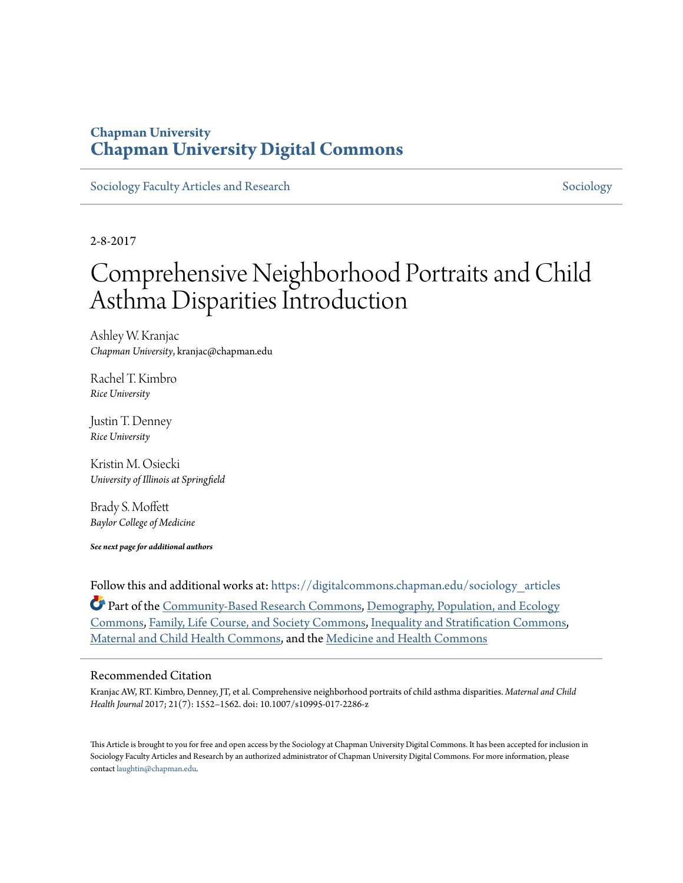### **Chapman University [Chapman University Digital Commons](https://digitalcommons.chapman.edu?utm_source=digitalcommons.chapman.edu%2Fsociology_articles%2F45&utm_medium=PDF&utm_campaign=PDFCoverPages)**

[Sociology Faculty Articles and Research](https://digitalcommons.chapman.edu/sociology_articles?utm_source=digitalcommons.chapman.edu%2Fsociology_articles%2F45&utm_medium=PDF&utm_campaign=PDFCoverPages) [Sociology](https://digitalcommons.chapman.edu/sociology?utm_source=digitalcommons.chapman.edu%2Fsociology_articles%2F45&utm_medium=PDF&utm_campaign=PDFCoverPages) Sociology Sociology

2-8-2017

# Comprehensive Neighborhood Portraits and Child Asthma Disparities Introduction

Ashley W. Kranjac *Chapman University*, kranjac@chapman.edu

Rachel T. Kimbro *Rice University*

Justin T. Denney *Rice University*

Kristin M. Osiecki *University of Illinois at Springfield*

Brady S. Moffett *Baylor College of Medicine*

*See next page for additional authors*

Follow this and additional works at: [https://digitalcommons.chapman.edu/sociology\\_articles](https://digitalcommons.chapman.edu/sociology_articles?utm_source=digitalcommons.chapman.edu%2Fsociology_articles%2F45&utm_medium=PDF&utm_campaign=PDFCoverPages) Part of the [Community-Based Research Commons](http://network.bepress.com/hgg/discipline/1047?utm_source=digitalcommons.chapman.edu%2Fsociology_articles%2F45&utm_medium=PDF&utm_campaign=PDFCoverPages), [Demography, Population, and Ecology](http://network.bepress.com/hgg/discipline/418?utm_source=digitalcommons.chapman.edu%2Fsociology_articles%2F45&utm_medium=PDF&utm_campaign=PDFCoverPages) [Commons,](http://network.bepress.com/hgg/discipline/418?utm_source=digitalcommons.chapman.edu%2Fsociology_articles%2F45&utm_medium=PDF&utm_campaign=PDFCoverPages) [Family, Life Course, and Society Commons,](http://network.bepress.com/hgg/discipline/419?utm_source=digitalcommons.chapman.edu%2Fsociology_articles%2F45&utm_medium=PDF&utm_campaign=PDFCoverPages) [Inequality and Stratification Commons,](http://network.bepress.com/hgg/discipline/421?utm_source=digitalcommons.chapman.edu%2Fsociology_articles%2F45&utm_medium=PDF&utm_campaign=PDFCoverPages) [Maternal and Child Health Commons,](http://network.bepress.com/hgg/discipline/745?utm_source=digitalcommons.chapman.edu%2Fsociology_articles%2F45&utm_medium=PDF&utm_campaign=PDFCoverPages) and the [Medicine and Health Commons](http://network.bepress.com/hgg/discipline/422?utm_source=digitalcommons.chapman.edu%2Fsociology_articles%2F45&utm_medium=PDF&utm_campaign=PDFCoverPages)

#### Recommended Citation

Kranjac AW, RT. Kimbro, Denney, JT, et al. Comprehensive neighborhood portraits of child asthma disparities. *Maternal and Child Health Journal* 2017; 21(7): 1552–1562. doi: 10.1007/s10995-017-2286-z

This Article is brought to you for free and open access by the Sociology at Chapman University Digital Commons. It has been accepted for inclusion in Sociology Faculty Articles and Research by an authorized administrator of Chapman University Digital Commons. For more information, please contact [laughtin@chapman.edu](mailto:laughtin@chapman.edu).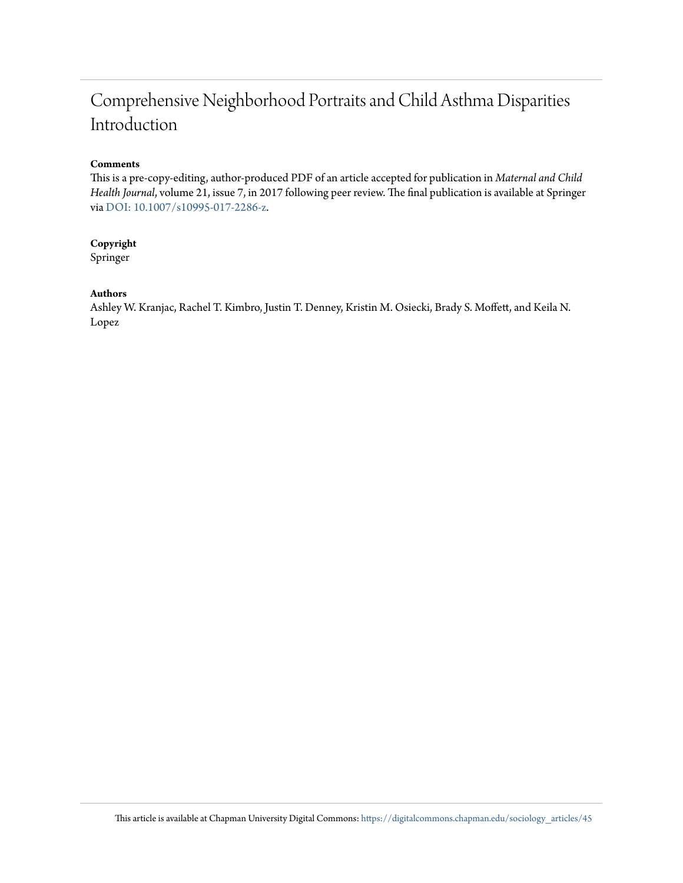## Comprehensive Neighborhood Portraits and Child Asthma Disparities Introduction

#### **Comments**

This is a pre-copy-editing, author-produced PDF of an article accepted for publication in *Maternal and Child Health Journal*, volume 21, issue 7, in 2017 following peer review. The final publication is available at Springer via [DOI: 10.1007/s10995-017-2286-z.](https://doi.org/10.1007/s10995-017-2286-z)

#### **Copyright**

Springer

#### **Authors**

Ashley W. Kranjac, Rachel T. Kimbro, Justin T. Denney, Kristin M. Osiecki, Brady S. Moffett, and Keila N. Lopez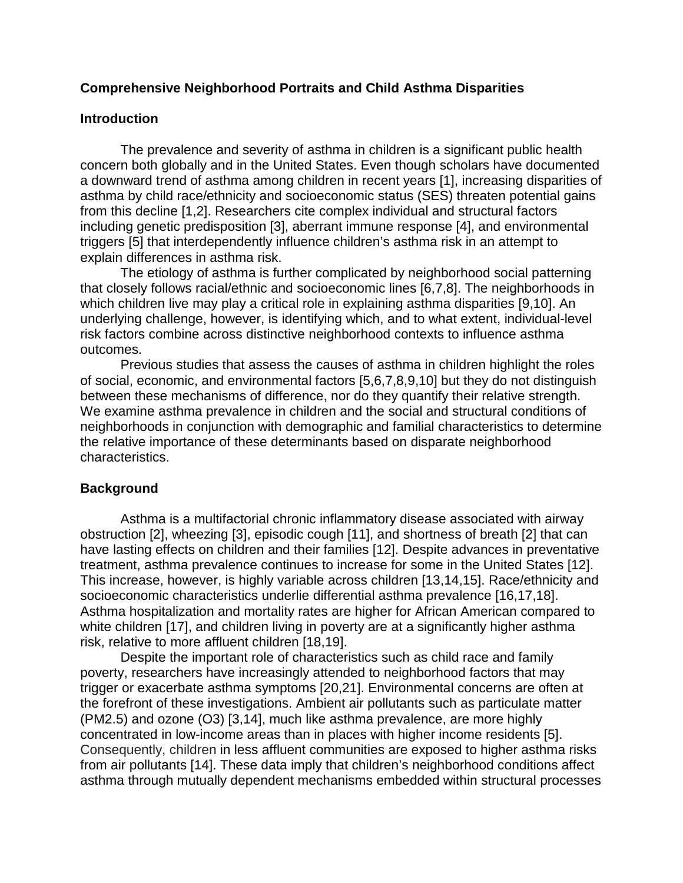#### **Comprehensive Neighborhood Portraits and Child Asthma Disparities**

#### **Introduction**

The prevalence and severity of asthma in children is a significant public health concern both globally and in the United States. Even though scholars have documented a downward trend of asthma among children in recent years [1], increasing disparities of asthma by child race/ethnicity and socioeconomic status (SES) threaten potential gains from this decline [1,2]. Researchers cite complex individual and structural factors including genetic predisposition [3], aberrant immune response [4], and environmental triggers [5] that interdependently influence children's asthma risk in an attempt to explain differences in asthma risk.

The etiology of asthma is further complicated by neighborhood social patterning that closely follows racial/ethnic and socioeconomic lines [6,7,8]. The neighborhoods in which children live may play a critical role in explaining asthma disparities [9,10]. An underlying challenge, however, is identifying which, and to what extent, individual-level risk factors combine across distinctive neighborhood contexts to influence asthma outcomes.

Previous studies that assess the causes of asthma in children highlight the roles of social, economic, and environmental factors [5,6,7,8,9,10] but they do not distinguish between these mechanisms of difference, nor do they quantify their relative strength. We examine asthma prevalence in children and the social and structural conditions of neighborhoods in conjunction with demographic and familial characteristics to determine the relative importance of these determinants based on disparate neighborhood characteristics.

#### **Background**

Asthma is a multifactorial chronic inflammatory disease associated with airway obstruction [2], wheezing [3], episodic cough [11], and shortness of breath [2] that can have lasting effects on children and their families [12]. Despite advances in preventative treatment, asthma prevalence continues to increase for some in the United States [12]. This increase, however, is highly variable across children [13,14,15]. Race/ethnicity and socioeconomic characteristics underlie differential asthma prevalence [16,17,18]. Asthma hospitalization and mortality rates are higher for African American compared to white children [17], and children living in poverty are at a significantly higher asthma risk, relative to more affluent children [18,19].

Despite the important role of characteristics such as child race and family poverty, researchers have increasingly attended to neighborhood factors that may trigger or exacerbate asthma symptoms [20,21]. Environmental concerns are often at the forefront of these investigations. Ambient air pollutants such as particulate matter (PM2.5) and ozone (O3) [3,14], much like asthma prevalence, are more highly concentrated in low-income areas than in places with higher income residents [5]. Consequently, children in less affluent communities are exposed to higher asthma risks from air pollutants [14]. These data imply that children's neighborhood conditions affect asthma through mutually dependent mechanisms embedded within structural processes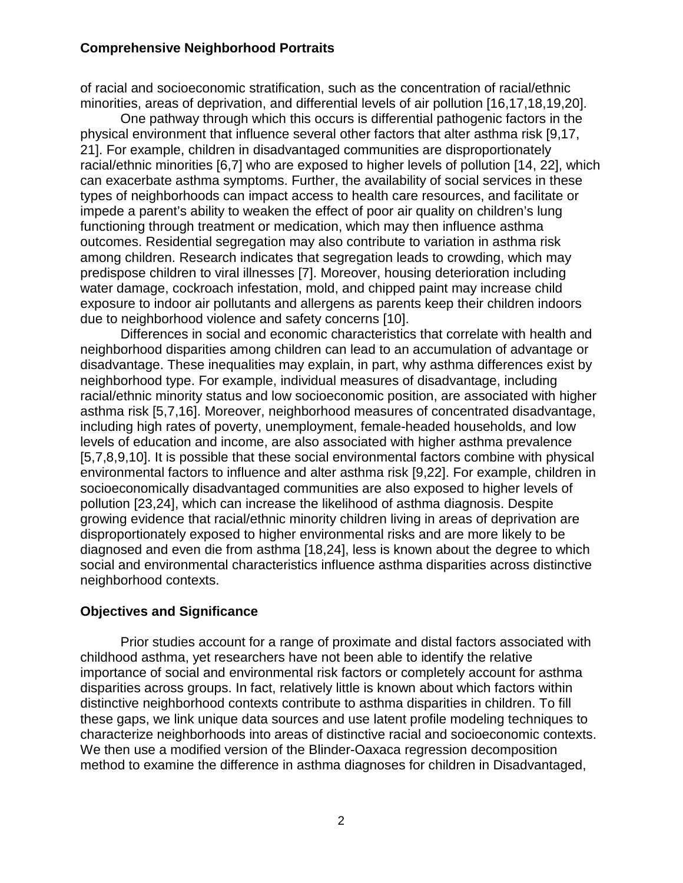of racial and socioeconomic stratification, such as the concentration of racial/ethnic minorities, areas of deprivation, and differential levels of air pollution [16,17,18,19,20].

One pathway through which this occurs is differential pathogenic factors in the physical environment that influence several other factors that alter asthma risk [9,17, 21]. For example, children in disadvantaged communities are disproportionately racial/ethnic minorities [6,7] who are exposed to higher levels of pollution [14, 22], which can exacerbate asthma symptoms. Further, the availability of social services in these types of neighborhoods can impact access to health care resources, and facilitate or impede a parent's ability to weaken the effect of poor air quality on children's lung functioning through treatment or medication, which may then influence asthma outcomes. Residential segregation may also contribute to variation in asthma risk among children. Research indicates that segregation leads to crowding, which may predispose children to viral illnesses [7]. Moreover, housing deterioration including water damage, cockroach infestation, mold, and chipped paint may increase child exposure to indoor air pollutants and allergens as parents keep their children indoors due to neighborhood violence and safety concerns [10].

Differences in social and economic characteristics that correlate with health and neighborhood disparities among children can lead to an accumulation of advantage or disadvantage. These inequalities may explain, in part, why asthma differences exist by neighborhood type. For example, individual measures of disadvantage, including racial/ethnic minority status and low socioeconomic position, are associated with higher asthma risk [5,7,16]. Moreover, neighborhood measures of concentrated disadvantage, including high rates of poverty, unemployment, female-headed households, and low levels of education and income, are also associated with higher asthma prevalence [5,7,8,9,10]. It is possible that these social environmental factors combine with physical environmental factors to influence and alter asthma risk [9,22]. For example, children in socioeconomically disadvantaged communities are also exposed to higher levels of pollution [23,24], which can increase the likelihood of asthma diagnosis. Despite growing evidence that racial/ethnic minority children living in areas of deprivation are disproportionately exposed to higher environmental risks and are more likely to be diagnosed and even die from asthma [18,24], less is known about the degree to which social and environmental characteristics influence asthma disparities across distinctive neighborhood contexts.

#### **Objectives and Significance**

Prior studies account for a range of proximate and distal factors associated with childhood asthma, yet researchers have not been able to identify the relative importance of social and environmental risk factors or completely account for asthma disparities across groups. In fact, relatively little is known about which factors within distinctive neighborhood contexts contribute to asthma disparities in children. To fill these gaps, we link unique data sources and use latent profile modeling techniques to characterize neighborhoods into areas of distinctive racial and socioeconomic contexts. We then use a modified version of the Blinder-Oaxaca regression decomposition method to examine the difference in asthma diagnoses for children in Disadvantaged,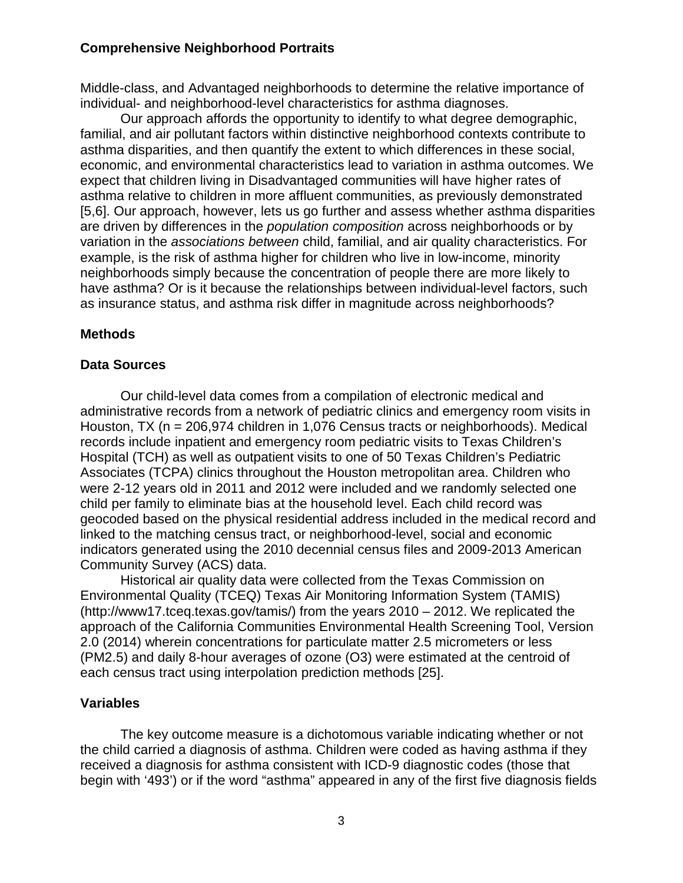Middle-class, and Advantaged neighborhoods to determine the relative importance of individual- and neighborhood-level characteristics for asthma diagnoses.

Our approach affords the opportunity to identify to what degree demographic, familial, and air pollutant factors within distinctive neighborhood contexts contribute to asthma disparities, and then quantify the extent to which differences in these social, economic, and environmental characteristics lead to variation in asthma outcomes. We expect that children living in Disadvantaged communities will have higher rates of asthma relative to children in more affluent communities, as previously demonstrated [5,6]. Our approach, however, lets us go further and assess whether asthma disparities are driven by differences in the *population composition* across neighborhoods or by variation in the *associations between* child, familial, and air quality characteristics. For example, is the risk of asthma higher for children who live in low-income, minority neighborhoods simply because the concentration of people there are more likely to have asthma? Or is it because the relationships between individual-level factors, such as insurance status, and asthma risk differ in magnitude across neighborhoods?

#### **Methods**

#### **Data Sources**

Our child-level data comes from a compilation of electronic medical and administrative records from a network of pediatric clinics and emergency room visits in Houston, TX (n = 206,974 children in 1,076 Census tracts or neighborhoods). Medical records include inpatient and emergency room pediatric visits to Texas Children's Hospital (TCH) as well as outpatient visits to one of 50 Texas Children's Pediatric Associates (TCPA) clinics throughout the Houston metropolitan area. Children who were 2-12 years old in 2011 and 2012 were included and we randomly selected one child per family to eliminate bias at the household level. Each child record was geocoded based on the physical residential address included in the medical record and linked to the matching census tract, or neighborhood-level, social and economic indicators generated using the 2010 decennial census files and 2009-2013 American Community Survey (ACS) data.

Historical air quality data were collected from the Texas Commission on Environmental Quality (TCEQ) Texas Air Monitoring Information System (TAMIS) (http://www17.tceq.texas.gov/tamis/) from the years 2010 – 2012. We replicated the approach of the California Communities Environmental Health Screening Tool, Version 2.0 (2014) wherein concentrations for particulate matter 2.5 micrometers or less (PM2.5) and daily 8-hour averages of ozone (O3) were estimated at the centroid of each census tract using interpolation prediction methods [25].

#### **Variables**

The key outcome measure is a dichotomous variable indicating whether or not the child carried a diagnosis of asthma. Children were coded as having asthma if they received a diagnosis for asthma consistent with ICD-9 diagnostic codes (those that begin with '493') or if the word "asthma" appeared in any of the first five diagnosis fields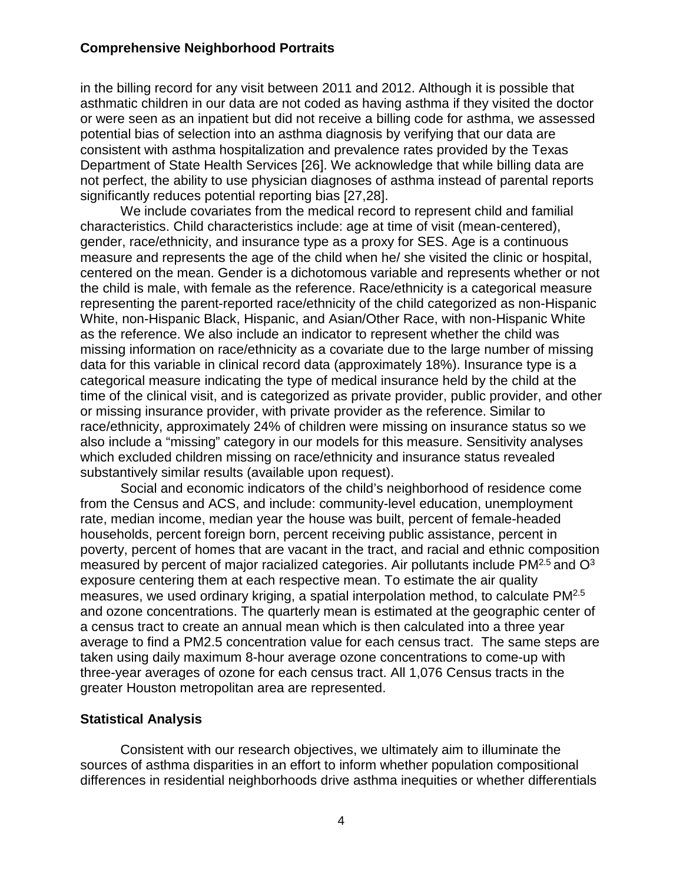in the billing record for any visit between 2011 and 2012. Although it is possible that asthmatic children in our data are not coded as having asthma if they visited the doctor or were seen as an inpatient but did not receive a billing code for asthma, we assessed potential bias of selection into an asthma diagnosis by verifying that our data are consistent with asthma hospitalization and prevalence rates provided by the Texas Department of State Health Services [26]. We acknowledge that while billing data are not perfect, the ability to use physician diagnoses of asthma instead of parental reports significantly reduces potential reporting bias [27,28].

We include covariates from the medical record to represent child and familial characteristics. Child characteristics include: age at time of visit (mean-centered), gender, race/ethnicity, and insurance type as a proxy for SES. Age is a continuous measure and represents the age of the child when he/ she visited the clinic or hospital, centered on the mean. Gender is a dichotomous variable and represents whether or not the child is male, with female as the reference. Race/ethnicity is a categorical measure representing the parent-reported race/ethnicity of the child categorized as non-Hispanic White, non-Hispanic Black, Hispanic, and Asian/Other Race, with non-Hispanic White as the reference. We also include an indicator to represent whether the child was missing information on race/ethnicity as a covariate due to the large number of missing data for this variable in clinical record data (approximately 18%). Insurance type is a categorical measure indicating the type of medical insurance held by the child at the time of the clinical visit, and is categorized as private provider, public provider, and other or missing insurance provider, with private provider as the reference. Similar to race/ethnicity, approximately 24% of children were missing on insurance status so we also include a "missing" category in our models for this measure. Sensitivity analyses which excluded children missing on race/ethnicity and insurance status revealed substantively similar results (available upon request).

Social and economic indicators of the child's neighborhood of residence come from the Census and ACS, and include: community-level education, unemployment rate, median income, median year the house was built, percent of female-headed households, percent foreign born, percent receiving public assistance, percent in poverty, percent of homes that are vacant in the tract, and racial and ethnic composition measured by percent of major racialized categories. Air pollutants include  $PM^{2.5}$  and  $O^3$ exposure centering them at each respective mean. To estimate the air quality measures, we used ordinary kriging, a spatial interpolation method, to calculate PM2.5 and ozone concentrations. The quarterly mean is estimated at the geographic center of a census tract to create an annual mean which is then calculated into a three year average to find a PM2.5 concentration value for each census tract. The same steps are taken using daily maximum 8-hour average ozone concentrations to come-up with three-year averages of ozone for each census tract. All 1,076 Census tracts in the greater Houston metropolitan area are represented.

#### **Statistical Analysis**

Consistent with our research objectives, we ultimately aim to illuminate the sources of asthma disparities in an effort to inform whether population compositional differences in residential neighborhoods drive asthma inequities or whether differentials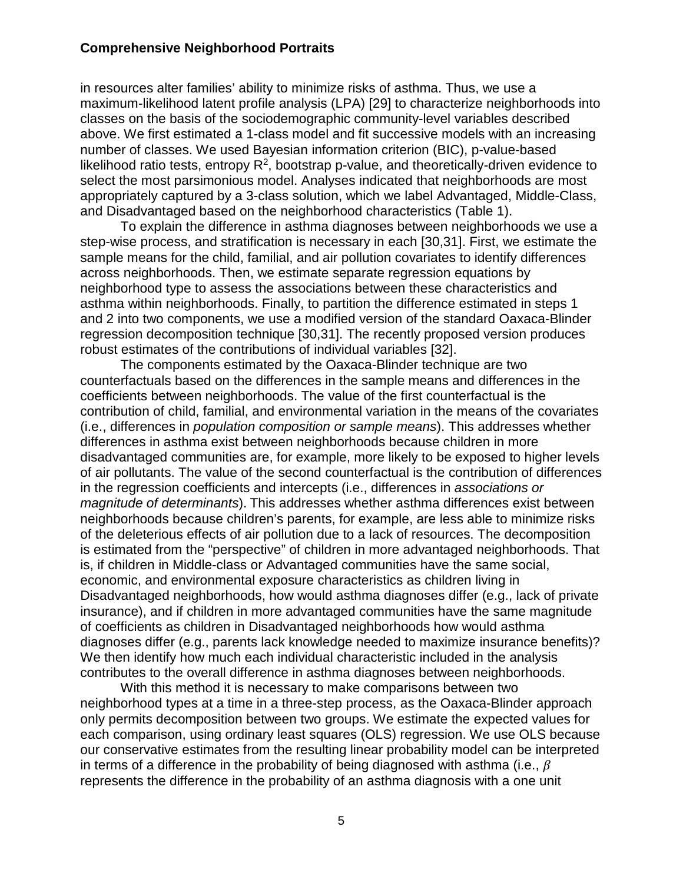in resources alter families' ability to minimize risks of asthma. Thus, we use a maximum-likelihood latent profile analysis (LPA) [29] to characterize neighborhoods into classes on the basis of the sociodemographic community-level variables described above. We first estimated a 1-class model and fit successive models with an increasing number of classes. We used Bayesian information criterion (BIC), p-value-based likelihood ratio tests, entropy  $R^2$ , bootstrap p-value, and theoretically-driven evidence to select the most parsimonious model. Analyses indicated that neighborhoods are most appropriately captured by a 3-class solution, which we label Advantaged, Middle-Class, and Disadvantaged based on the neighborhood characteristics (Table 1).

To explain the difference in asthma diagnoses between neighborhoods we use a step-wise process, and stratification is necessary in each [30,31]. First, we estimate the sample means for the child, familial, and air pollution covariates to identify differences across neighborhoods. Then, we estimate separate regression equations by neighborhood type to assess the associations between these characteristics and asthma within neighborhoods. Finally, to partition the difference estimated in steps 1 and 2 into two components, we use a modified version of the standard Oaxaca-Blinder regression decomposition technique [30,31]. The recently proposed version produces robust estimates of the contributions of individual variables [32].

The components estimated by the Oaxaca-Blinder technique are two counterfactuals based on the differences in the sample means and differences in the coefficients between neighborhoods. The value of the first counterfactual is the contribution of child, familial, and environmental variation in the means of the covariates (i.e., differences in *population composition or sample means*). This addresses whether differences in asthma exist between neighborhoods because children in more disadvantaged communities are, for example, more likely to be exposed to higher levels of air pollutants. The value of the second counterfactual is the contribution of differences in the regression coefficients and intercepts (i.e., differences in *associations or magnitude of determinants*). This addresses whether asthma differences exist between neighborhoods because children's parents, for example, are less able to minimize risks of the deleterious effects of air pollution due to a lack of resources. The decomposition is estimated from the "perspective" of children in more advantaged neighborhoods. That is, if children in Middle-class or Advantaged communities have the same social, economic, and environmental exposure characteristics as children living in Disadvantaged neighborhoods, how would asthma diagnoses differ (e.g., lack of private insurance), and if children in more advantaged communities have the same magnitude of coefficients as children in Disadvantaged neighborhoods how would asthma diagnoses differ (e.g., parents lack knowledge needed to maximize insurance benefits)? We then identify how much each individual characteristic included in the analysis contributes to the overall difference in asthma diagnoses between neighborhoods.

With this method it is necessary to make comparisons between two neighborhood types at a time in a three-step process, as the Oaxaca-Blinder approach only permits decomposition between two groups. We estimate the expected values for each comparison, using ordinary least squares (OLS) regression. We use OLS because our conservative estimates from the resulting linear probability model can be interpreted in terms of a difference in the probability of being diagnosed with asthma (i.e.,  $\beta$ represents the difference in the probability of an asthma diagnosis with a one unit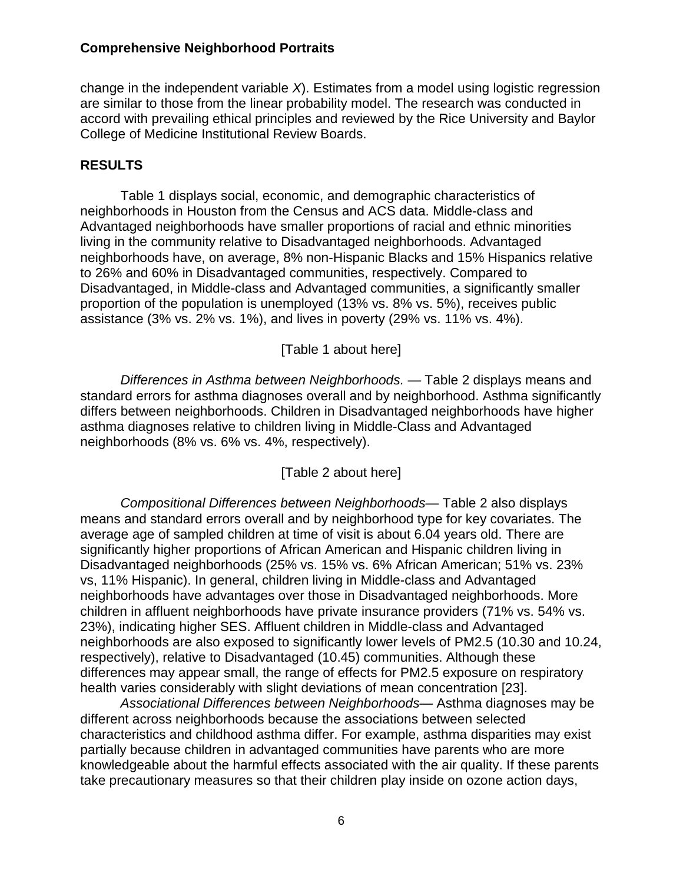change in the independent variable *X*). Estimates from a model using logistic regression are similar to those from the linear probability model. The research was conducted in accord with prevailing ethical principles and reviewed by the Rice University and Baylor College of Medicine Institutional Review Boards.

#### **RESULTS**

Table 1 displays social, economic, and demographic characteristics of neighborhoods in Houston from the Census and ACS data. Middle-class and Advantaged neighborhoods have smaller proportions of racial and ethnic minorities living in the community relative to Disadvantaged neighborhoods. Advantaged neighborhoods have, on average, 8% non-Hispanic Blacks and 15% Hispanics relative to 26% and 60% in Disadvantaged communities, respectively. Compared to Disadvantaged, in Middle-class and Advantaged communities, a significantly smaller proportion of the population is unemployed (13% vs. 8% vs. 5%), receives public assistance (3% vs. 2% vs. 1%), and lives in poverty (29% vs. 11% vs. 4%).

#### [Table 1 about here]

*Differences in Asthma between Neighborhoods. —* Table 2 displays means and standard errors for asthma diagnoses overall and by neighborhood. Asthma significantly differs between neighborhoods. Children in Disadvantaged neighborhoods have higher asthma diagnoses relative to children living in Middle-Class and Advantaged neighborhoods (8% vs. 6% vs. 4%, respectively).

#### [Table 2 about here]

*Compositional Differences between Neighborhoods—* Table 2 also displays means and standard errors overall and by neighborhood type for key covariates. The average age of sampled children at time of visit is about 6.04 years old. There are significantly higher proportions of African American and Hispanic children living in Disadvantaged neighborhoods (25% vs. 15% vs. 6% African American; 51% vs. 23% vs, 11% Hispanic). In general, children living in Middle-class and Advantaged neighborhoods have advantages over those in Disadvantaged neighborhoods. More children in affluent neighborhoods have private insurance providers (71% vs. 54% vs. 23%), indicating higher SES. Affluent children in Middle-class and Advantaged neighborhoods are also exposed to significantly lower levels of PM2.5 (10.30 and 10.24, respectively), relative to Disadvantaged (10.45) communities. Although these differences may appear small, the range of effects for PM2.5 exposure on respiratory health varies considerably with slight deviations of mean concentration [23].

*Associational Differences between Neighborhoods*— Asthma diagnoses may be different across neighborhoods because the associations between selected characteristics and childhood asthma differ. For example, asthma disparities may exist partially because children in advantaged communities have parents who are more knowledgeable about the harmful effects associated with the air quality. If these parents take precautionary measures so that their children play inside on ozone action days,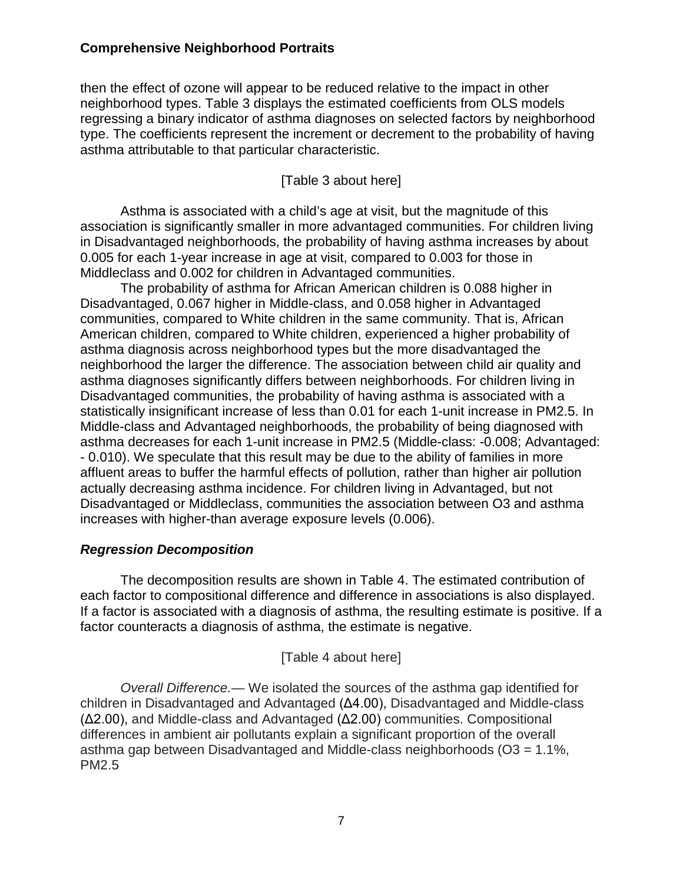then the effect of ozone will appear to be reduced relative to the impact in other neighborhood types. Table 3 displays the estimated coefficients from OLS models regressing a binary indicator of asthma diagnoses on selected factors by neighborhood type. The coefficients represent the increment or decrement to the probability of having asthma attributable to that particular characteristic.

[Table 3 about here]

Asthma is associated with a child's age at visit, but the magnitude of this association is significantly smaller in more advantaged communities. For children living in Disadvantaged neighborhoods, the probability of having asthma increases by about 0.005 for each 1-year increase in age at visit, compared to 0.003 for those in Middleclass and 0.002 for children in Advantaged communities.

The probability of asthma for African American children is 0.088 higher in Disadvantaged, 0.067 higher in Middle-class, and 0.058 higher in Advantaged communities, compared to White children in the same community. That is, African American children, compared to White children, experienced a higher probability of asthma diagnosis across neighborhood types but the more disadvantaged the neighborhood the larger the difference. The association between child air quality and asthma diagnoses significantly differs between neighborhoods. For children living in Disadvantaged communities, the probability of having asthma is associated with a statistically insignificant increase of less than 0.01 for each 1-unit increase in PM2.5. In Middle-class and Advantaged neighborhoods, the probability of being diagnosed with asthma decreases for each 1-unit increase in PM2.5 (Middle-class: -0.008; Advantaged: - 0.010). We speculate that this result may be due to the ability of families in more affluent areas to buffer the harmful effects of pollution, rather than higher air pollution actually decreasing asthma incidence. For children living in Advantaged, but not Disadvantaged or Middleclass, communities the association between O3 and asthma increases with higher-than average exposure levels (0.006).

#### *Regression Decomposition*

The decomposition results are shown in Table 4. The estimated contribution of each factor to compositional difference and difference in associations is also displayed. If a factor is associated with a diagnosis of asthma, the resulting estimate is positive. If a factor counteracts a diagnosis of asthma, the estimate is negative.

#### [Table 4 about here]

*Overall Difference.—* We isolated the sources of the asthma gap identified for children in Disadvantaged and Advantaged (Δ4.00), Disadvantaged and Middle-class (Δ2.00), and Middle-class and Advantaged (Δ2.00) communities. Compositional differences in ambient air pollutants explain a significant proportion of the overall asthma gap between Disadvantaged and Middle-class neighborhoods (O3 = 1.1%, PM2.5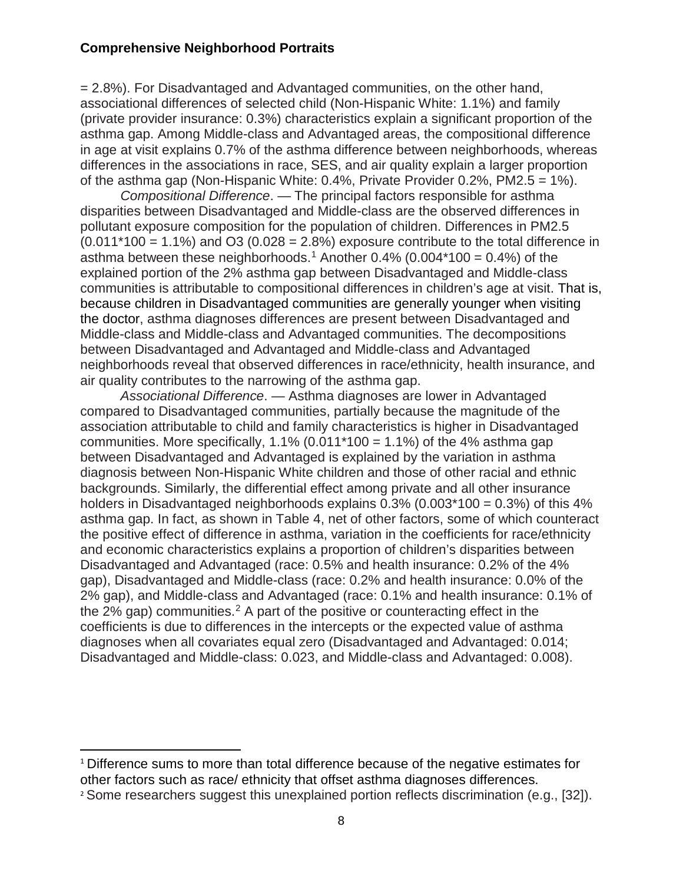= 2.8%). For Disadvantaged and Advantaged communities, on the other hand, associational differences of selected child (Non-Hispanic White: 1.1%) and family (private provider insurance: 0.3%) characteristics explain a significant proportion of the asthma gap. Among Middle-class and Advantaged areas, the compositional difference in age at visit explains 0.7% of the asthma difference between neighborhoods, whereas differences in the associations in race, SES, and air quality explain a larger proportion of the asthma gap (Non-Hispanic White:  $0.4\%$ , Private Provider  $0.2\%$ , PM2.5 = 1%).

*Compositional Difference*. — The principal factors responsible for asthma disparities between Disadvantaged and Middle-class are the observed differences in pollutant exposure composition for the population of children. Differences in PM2.5  $(0.011*100 = 1.1\%)$  and O3  $(0.028 = 2.8\%)$  exposure contribute to the total difference in asthma between these neighborhoods.<sup>[1](#page-9-0)</sup> Another 0.4% (0.004\*100 =  $0.4$ %) of the explained portion of the 2% asthma gap between Disadvantaged and Middle-class communities is attributable to compositional differences in children's age at visit. That is, because children in Disadvantaged communities are generally younger when visiting the doctor, asthma diagnoses differences are present between Disadvantaged and Middle-class and Middle-class and Advantaged communities. The decompositions between Disadvantaged and Advantaged and Middle-class and Advantaged neighborhoods reveal that observed differences in race/ethnicity, health insurance, and air quality contributes to the narrowing of the asthma gap.

*Associational Difference*. — Asthma diagnoses are lower in Advantaged compared to Disadvantaged communities, partially because the magnitude of the association attributable to child and family characteristics is higher in Disadvantaged communities. More specifically,  $1.1\%$  (0.011\*100 = 1.1%) of the 4% asthma gap between Disadvantaged and Advantaged is explained by the variation in asthma diagnosis between Non-Hispanic White children and those of other racial and ethnic backgrounds. Similarly, the differential effect among private and all other insurance holders in Disadvantaged neighborhoods explains  $0.3\%$  ( $0.003*100 = 0.3\%$ ) of this 4% asthma gap. In fact, as shown in Table 4, net of other factors, some of which counteract the positive effect of difference in asthma, variation in the coefficients for race/ethnicity and economic characteristics explains a proportion of children's disparities between Disadvantaged and Advantaged (race: 0.5% and health insurance: 0.2% of the 4% gap), Disadvantaged and Middle-class (race: 0.2% and health insurance: 0.0% of the 2% gap), and Middle-class and Advantaged (race: 0.1% and health insurance: 0.1% of the  $2\%$  $2\%$  gap) communities.<sup>2</sup> A part of the positive or counteracting effect in the coefficients is due to differences in the intercepts or the expected value of asthma diagnoses when all covariates equal zero (Disadvantaged and Advantaged: 0.014; Disadvantaged and Middle-class: 0.023, and Middle-class and Advantaged: 0.008).

<span id="page-9-0"></span> <sup>1</sup> Difference sums to more than total difference because of the negative estimates for other factors such as race/ ethnicity that offset asthma diagnoses differences.

<span id="page-9-1"></span><sup>2</sup> Some researchers suggest this unexplained portion reflects discrimination (e.g., [32]).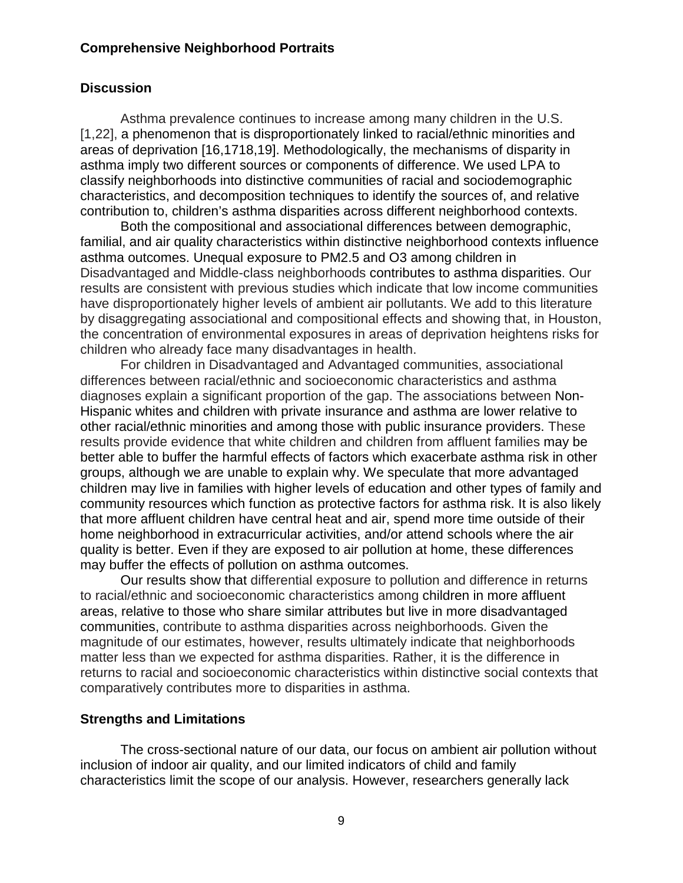#### **Discussion**

Asthma prevalence continues to increase among many children in the U.S. [1,22], a phenomenon that is disproportionately linked to racial/ethnic minorities and areas of deprivation [16,1718,19]. Methodologically, the mechanisms of disparity in asthma imply two different sources or components of difference. We used LPA to classify neighborhoods into distinctive communities of racial and sociodemographic characteristics, and decomposition techniques to identify the sources of, and relative contribution to, children's asthma disparities across different neighborhood contexts.

Both the compositional and associational differences between demographic, familial, and air quality characteristics within distinctive neighborhood contexts influence asthma outcomes. Unequal exposure to PM2.5 and O3 among children in Disadvantaged and Middle-class neighborhoods contributes to asthma disparities. Our results are consistent with previous studies which indicate that low income communities have disproportionately higher levels of ambient air pollutants. We add to this literature by disaggregating associational and compositional effects and showing that, in Houston, the concentration of environmental exposures in areas of deprivation heightens risks for children who already face many disadvantages in health.

For children in Disadvantaged and Advantaged communities, associational differences between racial/ethnic and socioeconomic characteristics and asthma diagnoses explain a significant proportion of the gap. The associations between Non-Hispanic whites and children with private insurance and asthma are lower relative to other racial/ethnic minorities and among those with public insurance providers. These results provide evidence that white children and children from affluent families may be better able to buffer the harmful effects of factors which exacerbate asthma risk in other groups, although we are unable to explain why. We speculate that more advantaged children may live in families with higher levels of education and other types of family and community resources which function as protective factors for asthma risk. It is also likely that more affluent children have central heat and air, spend more time outside of their home neighborhood in extracurricular activities, and/or attend schools where the air quality is better. Even if they are exposed to air pollution at home, these differences may buffer the effects of pollution on asthma outcomes.

Our results show that differential exposure to pollution and difference in returns to racial/ethnic and socioeconomic characteristics among children in more affluent areas, relative to those who share similar attributes but live in more disadvantaged communities, contribute to asthma disparities across neighborhoods. Given the magnitude of our estimates, however, results ultimately indicate that neighborhoods matter less than we expected for asthma disparities. Rather, it is the difference in returns to racial and socioeconomic characteristics within distinctive social contexts that comparatively contributes more to disparities in asthma.

#### **Strengths and Limitations**

The cross-sectional nature of our data, our focus on ambient air pollution without inclusion of indoor air quality, and our limited indicators of child and family characteristics limit the scope of our analysis. However, researchers generally lack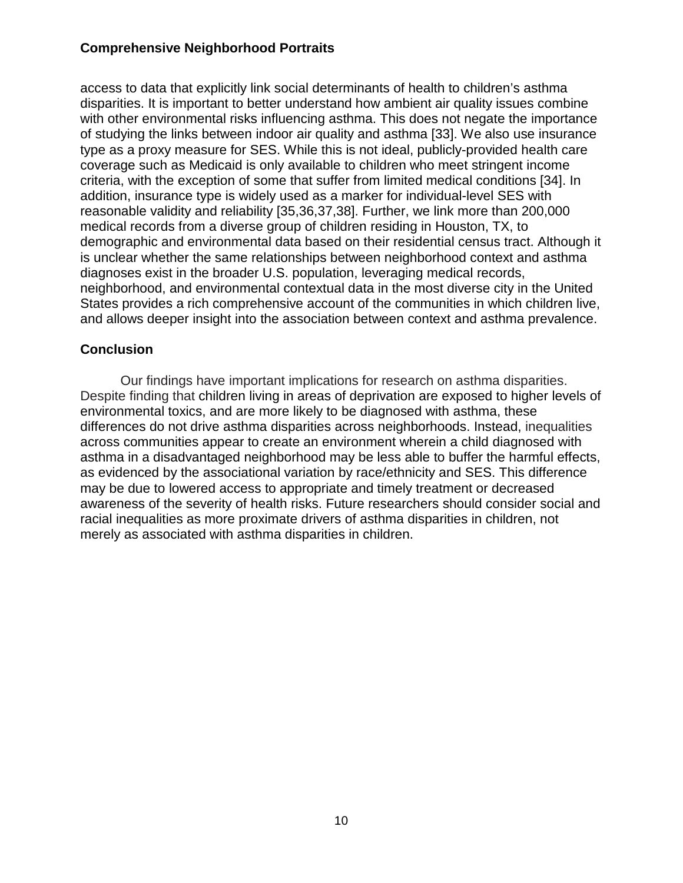access to data that explicitly link social determinants of health to children's asthma disparities. It is important to better understand how ambient air quality issues combine with other environmental risks influencing asthma. This does not negate the importance of studying the links between indoor air quality and asthma [33]. We also use insurance type as a proxy measure for SES. While this is not ideal, publicly-provided health care coverage such as Medicaid is only available to children who meet stringent income criteria, with the exception of some that suffer from limited medical conditions [34]. In addition, insurance type is widely used as a marker for individual-level SES with reasonable validity and reliability [35,36,37,38]. Further, we link more than 200,000 medical records from a diverse group of children residing in Houston, TX, to demographic and environmental data based on their residential census tract. Although it is unclear whether the same relationships between neighborhood context and asthma diagnoses exist in the broader U.S. population, leveraging medical records, neighborhood, and environmental contextual data in the most diverse city in the United States provides a rich comprehensive account of the communities in which children live, and allows deeper insight into the association between context and asthma prevalence.

#### **Conclusion**

Our findings have important implications for research on asthma disparities. Despite finding that children living in areas of deprivation are exposed to higher levels of environmental toxics, and are more likely to be diagnosed with asthma, these differences do not drive asthma disparities across neighborhoods. Instead, inequalities across communities appear to create an environment wherein a child diagnosed with asthma in a disadvantaged neighborhood may be less able to buffer the harmful effects, as evidenced by the associational variation by race/ethnicity and SES. This difference may be due to lowered access to appropriate and timely treatment or decreased awareness of the severity of health risks. Future researchers should consider social and racial inequalities as more proximate drivers of asthma disparities in children, not merely as associated with asthma disparities in children.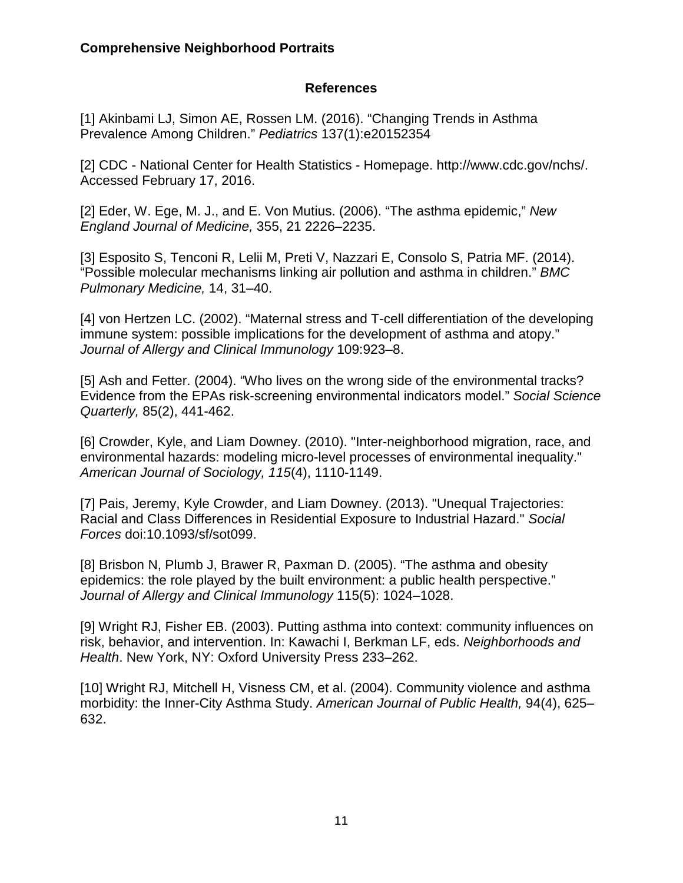#### **References**

[1] Akinbami LJ, Simon AE, Rossen LM. (2016). "Changing Trends in Asthma Prevalence Among Children." *Pediatrics* 137(1):e20152354

[2] CDC - National Center for Health Statistics - Homepage. http://www.cdc.gov/nchs/. Accessed February 17, 2016.

[2] Eder, W. Ege, M. J., and E. Von Mutius. (2006). "The asthma epidemic," *New England Journal of Medicine,* 355, 21 2226–2235.

[3] Esposito S, Tenconi R, Lelii M, Preti V, Nazzari E, Consolo S, Patria MF. (2014). "Possible molecular mechanisms linking air pollution and asthma in children." *BMC Pulmonary Medicine,* 14, 31–40.

[4] von Hertzen LC. (2002). "Maternal stress and T-cell differentiation of the developing immune system: possible implications for the development of asthma and atopy." *Journal of Allergy and Clinical Immunology* 109:923–8.

[5] Ash and Fetter. (2004). "Who lives on the wrong side of the environmental tracks? Evidence from the EPAs risk-screening environmental indicators model." *Social Science Quarterly,* 85(2), 441-462.

[6] Crowder, Kyle, and Liam Downey. (2010). "Inter-neighborhood migration, race, and environmental hazards: modeling micro-level processes of environmental inequality." *American Journal of Sociology, 115*(4), 1110-1149.

[7] Pais, Jeremy, Kyle Crowder, and Liam Downey. (2013). "Unequal Trajectories: Racial and Class Differences in Residential Exposure to Industrial Hazard." *Social Forces* doi:10.1093/sf/sot099.

[8] Brisbon N, Plumb J, Brawer R, Paxman D. (2005). "The asthma and obesity epidemics: the role played by the built environment: a public health perspective." *Journal of Allergy and Clinical Immunology* 115(5): 1024–1028.

[9] Wright RJ, Fisher EB. (2003). Putting asthma into context: community influences on risk, behavior, and intervention. In: Kawachi I, Berkman LF, eds. *Neighborhoods and Health*. New York, NY: Oxford University Press 233–262.

[10] Wright RJ, Mitchell H, Visness CM, et al. (2004). Community violence and asthma morbidity: the Inner-City Asthma Study. *American Journal of Public Health,* 94(4), 625– 632.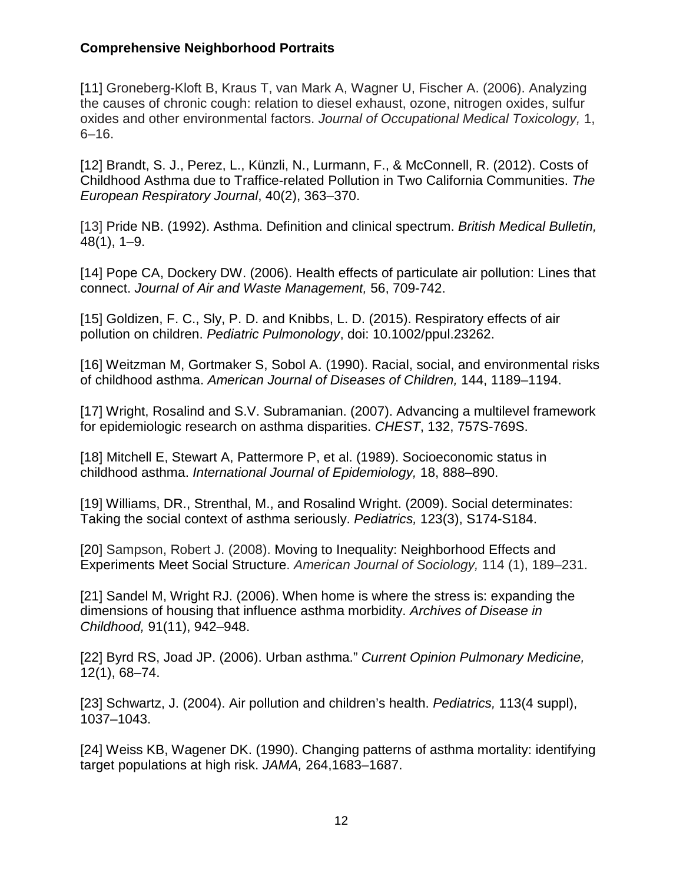[11] Groneberg-Kloft B, Kraus T, van Mark A, Wagner U, Fischer A. (2006). Analyzing the causes of chronic cough: relation to diesel exhaust, ozone, nitrogen oxides, sulfur oxides and other environmental factors. *Journal of Occupational Medical Toxicology,* 1, 6–16.

[12] Brandt, S. J., Perez, L., Künzli, N., Lurmann, F., & McConnell, R. (2012). Costs of Childhood Asthma due to Traffice-related Pollution in Two California Communities. *The European Respiratory Journal*, 40(2), 363–370.

[13] Pride NB. (1992). Asthma. Definition and clinical spectrum. *British Medical Bulletin,* 48(1), 1–9.

[14] Pope CA, Dockery DW. (2006). Health effects of particulate air pollution: Lines that connect. *Journal of Air and Waste Management,* 56, 709-742.

[15] Goldizen, F. C., Sly, P. D. and Knibbs, L. D. (2015). Respiratory effects of air pollution on children. *Pediatric Pulmonology*, doi: 10.1002/ppul.23262.

[16] Weitzman M, Gortmaker S, Sobol A. (1990). Racial, social, and environmental risks of childhood asthma. *American Journal of Diseases of Children,* 144, 1189–1194.

[17] Wright, Rosalind and S.V. Subramanian. (2007). Advancing a multilevel framework for epidemiologic research on asthma disparities. *CHEST*, 132, 757S-769S.

[18] Mitchell E, Stewart A, Pattermore P, et al. (1989). Socioeconomic status in childhood asthma. *International Journal of Epidemiology,* 18, 888–890.

[19] Williams, DR., Strenthal, M., and Rosalind Wright. (2009). Social determinates: Taking the social context of asthma seriously. *Pediatrics,* 123(3), S174-S184.

[20] Sampson, Robert J. (2008). Moving to Inequality: Neighborhood Effects and Experiments Meet Social Structure. *American Journal of Sociology,* 114 (1), 189–231.

[21] Sandel M, Wright RJ. (2006). When home is where the stress is: expanding the dimensions of housing that influence asthma morbidity. *Archives of Disease in Childhood,* 91(11), 942–948.

[22] Byrd RS, Joad JP. (2006). Urban asthma." *Current Opinion Pulmonary Medicine,* 12(1), 68–74.

[23] Schwartz, J. (2004). Air pollution and children's health. *Pediatrics,* 113(4 suppl), 1037–1043.

[24] Weiss KB, Wagener DK. (1990). Changing patterns of asthma mortality: identifying target populations at high risk. *JAMA,* 264,1683–1687.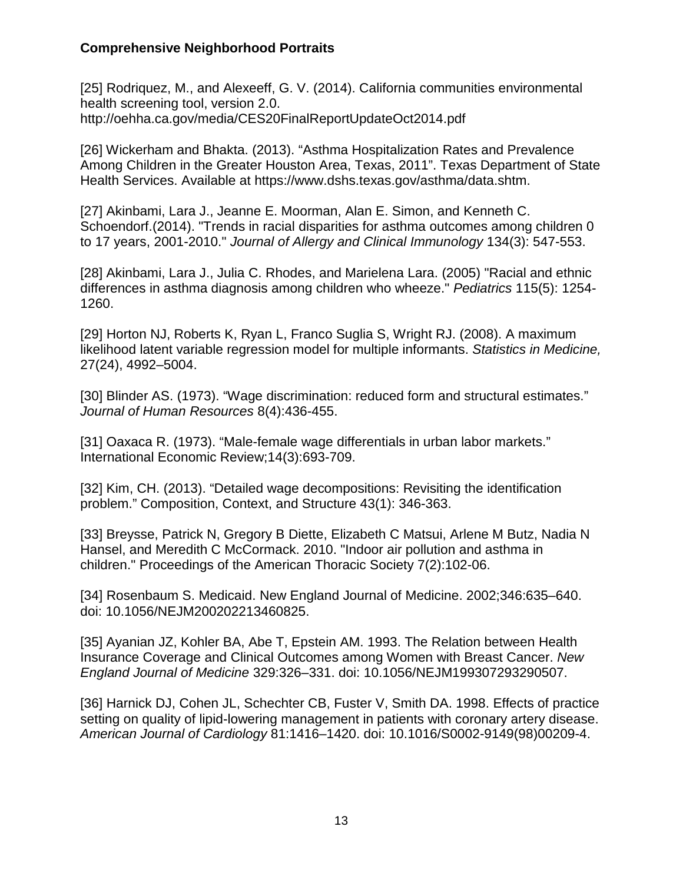[25] Rodriquez, M., and Alexeeff, G. V. (2014). California communities environmental health screening tool, version 2.0. http://oehha.ca.gov/media/CES20FinalReportUpdateOct2014.pdf

[26] Wickerham and Bhakta. (2013). "Asthma Hospitalization Rates and Prevalence Among Children in the Greater Houston Area, Texas, 2011". Texas Department of State Health Services. Available at https://www.dshs.texas.gov/asthma/data.shtm.

[27] Akinbami, Lara J., Jeanne E. Moorman, Alan E. Simon, and Kenneth C. Schoendorf.(2014). "Trends in racial disparities for asthma outcomes among children 0 to 17 years, 2001-2010." *Journal of Allergy and Clinical Immunology* 134(3): 547-553.

[28] Akinbami, Lara J., Julia C. Rhodes, and Marielena Lara. (2005) "Racial and ethnic differences in asthma diagnosis among children who wheeze." *Pediatrics* 115(5): 1254- 1260.

[29] Horton NJ, Roberts K, Ryan L, Franco Suglia S, Wright RJ. (2008). A maximum likelihood latent variable regression model for multiple informants. *Statistics in Medicine,* 27(24), 4992–5004.

[30] Blinder AS. (1973). "Wage discrimination: reduced form and structural estimates." *Journal of Human Resources* 8(4):436-455.

[31] Oaxaca R. (1973). "Male-female wage differentials in urban labor markets." International Economic Review;14(3):693-709.

[32] Kim, CH. (2013). "Detailed wage decompositions: Revisiting the identification problem." Composition, Context, and Structure 43(1): 346-363.

[33] Breysse, Patrick N, Gregory B Diette, Elizabeth C Matsui, Arlene M Butz, Nadia N Hansel, and Meredith C McCormack. 2010. "Indoor air pollution and asthma in children." Proceedings of the American Thoracic Society 7(2):102-06.

[34] Rosenbaum S. Medicaid. New England Journal of Medicine. 2002;346:635–640. doi: 10.1056/NEJM200202213460825.

[35] Ayanian JZ, Kohler BA, Abe T, Epstein AM. 1993. The Relation between Health Insurance Coverage and Clinical Outcomes among Women with Breast Cancer. *New England Journal of Medicine* 329:326–331. doi: 10.1056/NEJM199307293290507.

[36] Harnick DJ, Cohen JL, Schechter CB, Fuster V, Smith DA. 1998. Effects of practice setting on quality of lipid-lowering management in patients with coronary artery disease. *American Journal of Cardiology* 81:1416–1420. doi: 10.1016/S0002-9149(98)00209-4.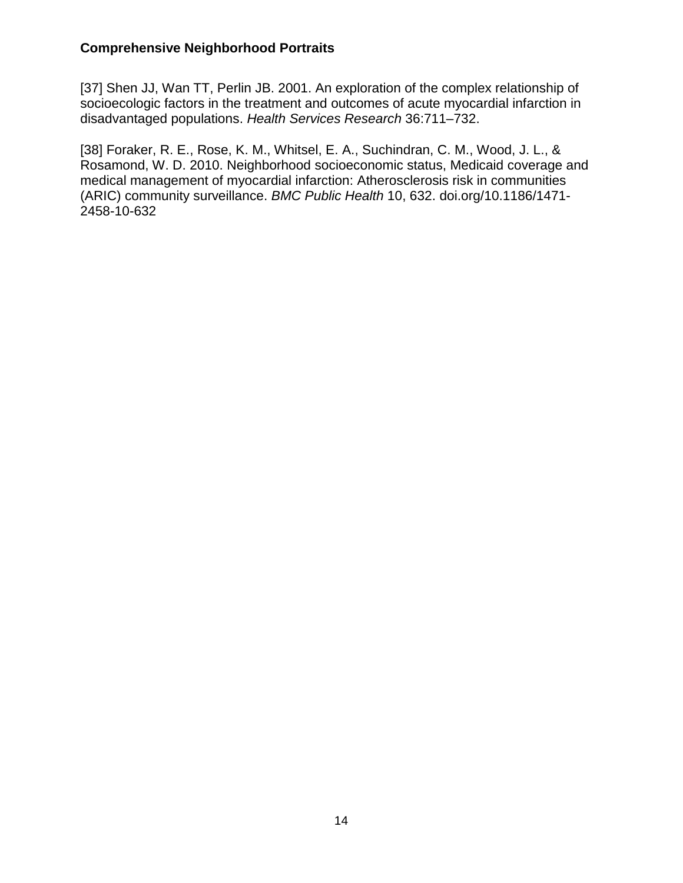[37] Shen JJ, Wan TT, Perlin JB. 2001. An exploration of the complex relationship of socioecologic factors in the treatment and outcomes of acute myocardial infarction in disadvantaged populations. *Health Services Research* 36:711–732.

[38] Foraker, R. E., Rose, K. M., Whitsel, E. A., Suchindran, C. M., Wood, J. L., & Rosamond, W. D. 2010. Neighborhood socioeconomic status, Medicaid coverage and medical management of myocardial infarction: Atherosclerosis risk in communities (ARIC) community surveillance. *BMC Public Health* 10, 632. doi.org/10.1186/1471- 2458-10-632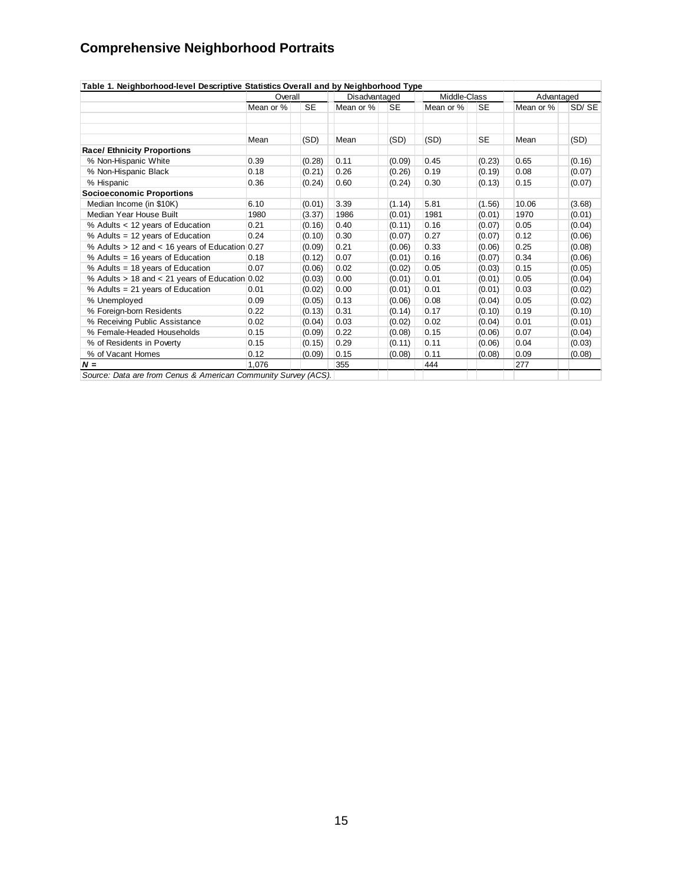|                                                | Overall   |           | Disadvantaged |           | Middle-Class |           | Advantaged |        |
|------------------------------------------------|-----------|-----------|---------------|-----------|--------------|-----------|------------|--------|
|                                                | Mean or % | <b>SE</b> | Mean or %     | <b>SE</b> | Mean or %    | <b>SE</b> | Mean or %  | SD/SE  |
|                                                |           |           |               |           |              |           |            |        |
|                                                | Mean      | (SD)      | Mean          | (SD)      | (SD)         | <b>SE</b> | Mean       | (SD)   |
| <b>Race/ Ethnicity Proportions</b>             |           |           |               |           |              |           |            |        |
| % Non-Hispanic White                           | 0.39      | (0.28)    | 0.11          | (0.09)    | 0.45         | (0.23)    | 0.65       | (0.16) |
| % Non-Hispanic Black                           | 0.18      | (0.21)    | 0.26          | (0.26)    | 0.19         | (0.19)    | 0.08       | (0.07) |
| % Hispanic                                     | 0.36      | (0.24)    | 0.60          | (0.24)    | 0.30         | (0.13)    | 0.15       | (0.07) |
| <b>Socioeconomic Proportions</b>               |           |           |               |           |              |           |            |        |
| Median Income (in \$10K)                       | 6.10      | (0.01)    | 3.39          | (1.14)    | 5.81         | (1.56)    | 10.06      | (3.68) |
| Median Year House Built                        | 1980      | (3.37)    | 1986          | (0.01)    | 1981         | (0.01)    | 1970       | (0.01) |
| % Adults < 12 years of Education               | 0.21      | (0.16)    | 0.40          | (0.11)    | 0.16         | (0.07)    | 0.05       | (0.04) |
| % Adults = 12 years of Education               | 0.24      | (0.10)    | 0.30          | (0.07)    | 0.27         | (0.07)    | 0.12       | (0.06) |
| % Adults > 12 and < 16 years of Education 0.27 |           | (0.09)    | 0.21          | (0.06)    | 0.33         | (0.06)    | 0.25       | (0.08) |
| % Adults = 16 years of Education               | 0.18      | (0.12)    | 0.07          | (0.01)    | 0.16         | (0.07)    | 0.34       | (0.06) |
| % Adults = 18 years of Education               | 0.07      | (0.06)    | 0.02          | (0.02)    | 0.05         | (0.03)    | 0.15       | (0.05) |
| % Adults > 18 and < 21 years of Education 0.02 |           | (0.03)    | 0.00          | (0.01)    | 0.01         | (0.01)    | 0.05       | (0.04) |
| % Adults = 21 years of Education               | 0.01      | (0.02)    | 0.00          | (0.01)    | 0.01         | (0.01)    | 0.03       | (0.02) |
| % Unemployed                                   | 0.09      | (0.05)    | 0.13          | (0.06)    | 0.08         | (0.04)    | 0.05       | (0.02) |
| % Foreign-born Residents                       | 0.22      | (0.13)    | 0.31          | (0.14)    | 0.17         | (0.10)    | 0.19       | (0.10) |
| % Receiving Public Assistance                  | 0.02      | (0.04)    | 0.03          | (0.02)    | 0.02         | (0.04)    | 0.01       | (0.01) |
| % Female-Headed Households                     | 0.15      | (0.09)    | 0.22          | (0.08)    | 0.15         | (0.06)    | 0.07       | (0.04) |
| % of Residents in Poverty                      | 0.15      | (0.15)    | 0.29          | (0.11)    | 0.11         | (0.06)    | 0.04       | (0.03) |
| % of Vacant Homes                              | 0.12      | (0.09)    | 0.15          | (0.08)    | 0.11         | (0.08)    | 0.09       | (0.08) |
| $N =$                                          | 1.076     |           | 355           |           | 444          |           | 277        |        |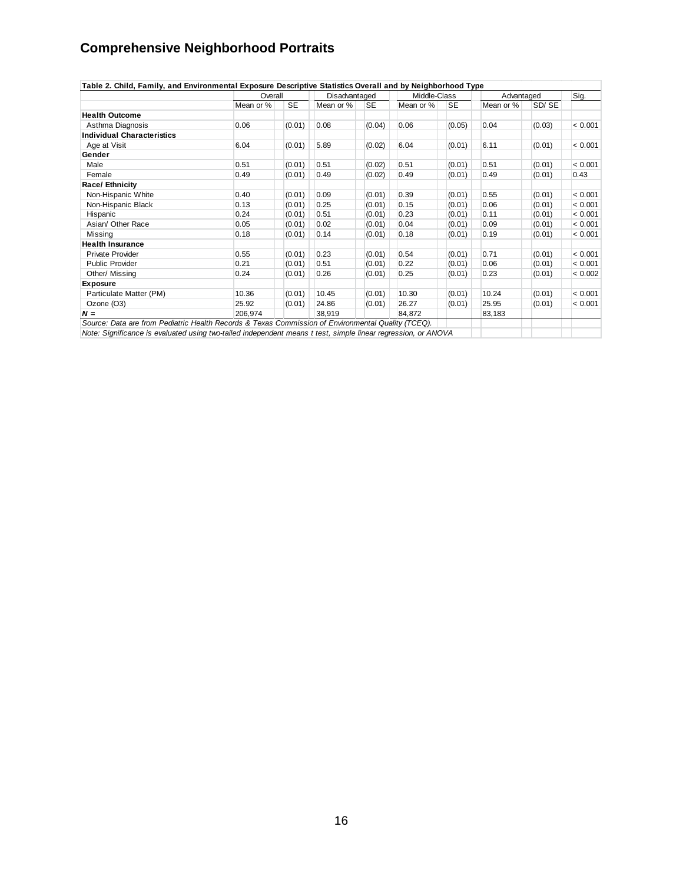| Mean or %<br><b>Health Outcome</b><br>0.06<br>Asthma Diagnosis<br><b>Individual Characteristics</b><br>6.04<br>Age at Visit<br>Gender<br>Male<br>0.51<br>0.49<br>Female<br>Race/ Ethnicity<br>0.40<br>Non-Hispanic White<br>0.13<br>Non-Hispanic Black<br>0.24<br>Hispanic<br>Asian/ Other Race<br>0.05 | <b>SE</b><br>(0.01)<br>(0.01)<br>(0.01)<br>(0.01)<br>(0.01)<br>(0.01)<br>(0.01) | Mean or %<br>0.08<br>5.89<br>0.51<br>0.49<br>0.09<br>0.25 | <b>SE</b><br>(0.04)<br>(0.02)<br>(0.02)<br>(0.02)<br>(0.01)<br>(0.01) | Mean or %<br>0.06<br>6.04<br>0.51<br>0.49<br>0.39 | <b>SE</b><br>(0.05)<br>(0.01)<br>(0.01)<br>(0.01)<br>(0.01) | Mean or %<br>0.04<br>6.11<br>0.51<br>0.49<br>0.55 | SD/SE<br>(0.03)<br>(0.01)<br>(0.01)<br>(0.01) | 0.43    |
|---------------------------------------------------------------------------------------------------------------------------------------------------------------------------------------------------------------------------------------------------------------------------------------------------------|---------------------------------------------------------------------------------|-----------------------------------------------------------|-----------------------------------------------------------------------|---------------------------------------------------|-------------------------------------------------------------|---------------------------------------------------|-----------------------------------------------|---------|
|                                                                                                                                                                                                                                                                                                         |                                                                                 |                                                           |                                                                       |                                                   |                                                             |                                                   |                                               |         |
|                                                                                                                                                                                                                                                                                                         |                                                                                 |                                                           |                                                                       |                                                   |                                                             |                                                   |                                               | < 0.001 |
|                                                                                                                                                                                                                                                                                                         |                                                                                 |                                                           |                                                                       |                                                   |                                                             |                                                   |                                               |         |
|                                                                                                                                                                                                                                                                                                         |                                                                                 |                                                           |                                                                       |                                                   |                                                             |                                                   |                                               | < 0.001 |
|                                                                                                                                                                                                                                                                                                         |                                                                                 |                                                           |                                                                       |                                                   |                                                             |                                                   |                                               |         |
|                                                                                                                                                                                                                                                                                                         |                                                                                 |                                                           |                                                                       |                                                   |                                                             |                                                   |                                               | < 0.001 |
|                                                                                                                                                                                                                                                                                                         |                                                                                 |                                                           |                                                                       |                                                   |                                                             |                                                   |                                               |         |
|                                                                                                                                                                                                                                                                                                         |                                                                                 |                                                           |                                                                       |                                                   |                                                             |                                                   |                                               |         |
|                                                                                                                                                                                                                                                                                                         |                                                                                 |                                                           |                                                                       |                                                   |                                                             |                                                   |                                               |         |
|                                                                                                                                                                                                                                                                                                         |                                                                                 |                                                           |                                                                       |                                                   |                                                             |                                                   | (0.01)                                        | < 0.001 |
|                                                                                                                                                                                                                                                                                                         |                                                                                 |                                                           |                                                                       | 0.15                                              | (0.01)                                                      | 0.06                                              | (0.01)                                        | < 0.001 |
|                                                                                                                                                                                                                                                                                                         |                                                                                 | 0.51                                                      | (0.01)                                                                | 0.23                                              | (0.01)                                                      | 0.11                                              | (0.01)                                        | < 0.001 |
|                                                                                                                                                                                                                                                                                                         | (0.01)                                                                          | 0.02                                                      | (0.01)                                                                | 0.04                                              | (0.01)                                                      | 0.09                                              | (0.01)                                        | < 0.001 |
| Missing<br>0.18                                                                                                                                                                                                                                                                                         | (0.01)                                                                          | 0.14                                                      | (0.01)                                                                | 0.18                                              | (0.01)                                                      | 0.19                                              | (0.01)                                        | < 0.001 |
| <b>Health Insurance</b>                                                                                                                                                                                                                                                                                 |                                                                                 |                                                           |                                                                       |                                                   |                                                             |                                                   |                                               |         |
| 0.55<br>Private Provider                                                                                                                                                                                                                                                                                | (0.01)                                                                          | 0.23                                                      | (0.01)                                                                | 0.54                                              | (0.01)                                                      | 0.71                                              | (0.01)                                        | < 0.001 |
| 0.21<br><b>Public Provider</b>                                                                                                                                                                                                                                                                          | (0.01)                                                                          | 0.51                                                      | (0.01)                                                                | 0.22                                              | (0.01)                                                      | 0.06                                              | (0.01)                                        | < 0.001 |
| 0.24<br>Other/ Missing                                                                                                                                                                                                                                                                                  | (0.01)                                                                          | 0.26                                                      | (0.01)                                                                | 0.25                                              | (0.01)                                                      | 0.23                                              | (0.01)                                        | < 0.002 |
| <b>Exposure</b>                                                                                                                                                                                                                                                                                         |                                                                                 |                                                           |                                                                       |                                                   |                                                             |                                                   |                                               |         |
| 10.36<br>Particulate Matter (PM)                                                                                                                                                                                                                                                                        | (0.01)                                                                          | 10.45                                                     | (0.01)                                                                | 10.30                                             | (0.01)                                                      | 10.24                                             | (0.01)                                        | < 0.001 |
| 25.92<br>Ozone (O3)                                                                                                                                                                                                                                                                                     | (0.01)                                                                          | 24.86                                                     | (0.01)                                                                | 26.27                                             | (0.01)                                                      | 25.95                                             | (0.01)                                        | < 0.001 |
| 206,974<br>$N =$                                                                                                                                                                                                                                                                                        |                                                                                 | 38.919                                                    |                                                                       | 84.872                                            |                                                             | 83,183                                            |                                               |         |

16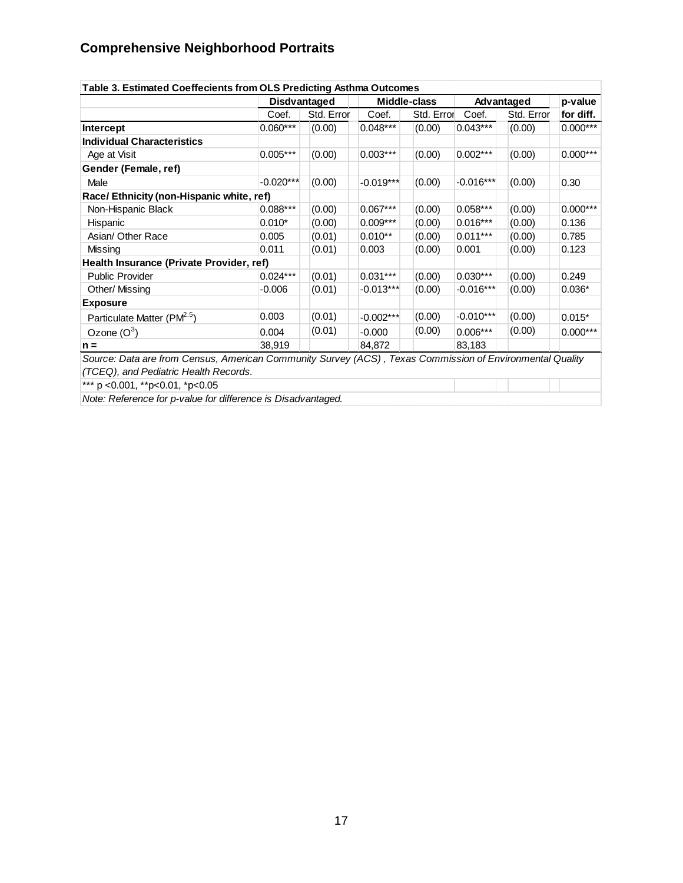| Table 3. Estimated Coeffecients from OLS Predicting Asthma Outcomes                                      |             |              |             | p-value      |             |            |            |
|----------------------------------------------------------------------------------------------------------|-------------|--------------|-------------|--------------|-------------|------------|------------|
|                                                                                                          |             | Disdvantaged |             | Middle-class |             | Advantaged |            |
|                                                                                                          | Coef.       | Std. Error   | Coef.       | Std. Error   | Coef.       | Std. Error | for diff.  |
| Intercept                                                                                                | $0.060***$  | (0.00)       | $0.048***$  | (0.00)       | $0.043***$  | (0.00)     | $0.000***$ |
| <b>Individual Characteristics</b>                                                                        |             |              |             |              |             |            |            |
| Age at Visit                                                                                             | $0.005***$  | (0.00)       | $0.003***$  | (0.00)       | $0.002***$  | (0.00)     | $0.000***$ |
| Gender (Female, ref)                                                                                     |             |              |             |              |             |            |            |
| Male                                                                                                     | $-0.020***$ | (0.00)       | $-0.019***$ | (0.00)       | $-0.016***$ | (0.00)     | 0.30       |
| Race/Ethnicity (non-Hispanic white, ref)                                                                 |             |              |             |              |             |            |            |
| Non-Hispanic Black                                                                                       | $0.088***$  | (0.00)       | $0.067***$  | (0.00)       | 0.058***    | (0.00)     | $0.000***$ |
| Hispanic                                                                                                 | $0.010*$    | (0.00)       | $0.009***$  | (0.00)       | $0.016***$  | (0.00)     | 0.136      |
| Asian/ Other Race                                                                                        | 0.005       | (0.01)       | $0.010**$   | (0.00)       | $0.011***$  | (0.00)     | 0.785      |
| Missing                                                                                                  | 0.011       | (0.01)       | 0.003       | (0.00)       | 0.001       | (0.00)     | 0.123      |
| Health Insurance (Private Provider, ref)                                                                 |             |              |             |              |             |            |            |
| <b>Public Provider</b>                                                                                   | $0.024***$  | (0.01)       | $0.031***$  | (0.00)       | $0.030***$  | (0.00)     | 0.249      |
| Other/ Missing                                                                                           | $-0.006$    | (0.01)       | $-0.013***$ | (0.00)       | $-0.016***$ | (0.00)     | $0.036*$   |
| <b>Exposure</b>                                                                                          |             |              |             |              |             |            |            |
| Particulate Matter (PM <sup>2.5</sup> )                                                                  | 0.003       | (0.01)       | $-0.002***$ | (0.00)       | $-0.010***$ | (0.00)     | $0.015*$   |
| Ozone $(O^3)$                                                                                            | 0.004       | (0.01)       | $-0.000$    | (0.00)       | $0.006***$  | (0.00)     | $0.000***$ |
| $n =$                                                                                                    | 38,919      |              | 84,872      |              | 83,183      |            |            |
| Source: Data are from Census, American Community Survey (ACS), Texas Commission of Environmental Quality |             |              |             |              |             |            |            |
| (TCEQ), and Pediatric Health Records.                                                                    |             |              |             |              |             |            |            |
| *** p < 0.001, ** p < 0.01, * p < 0.05                                                                   |             |              |             |              |             |            |            |

*Note: Reference for p-value for difference is Disadvantaged.*